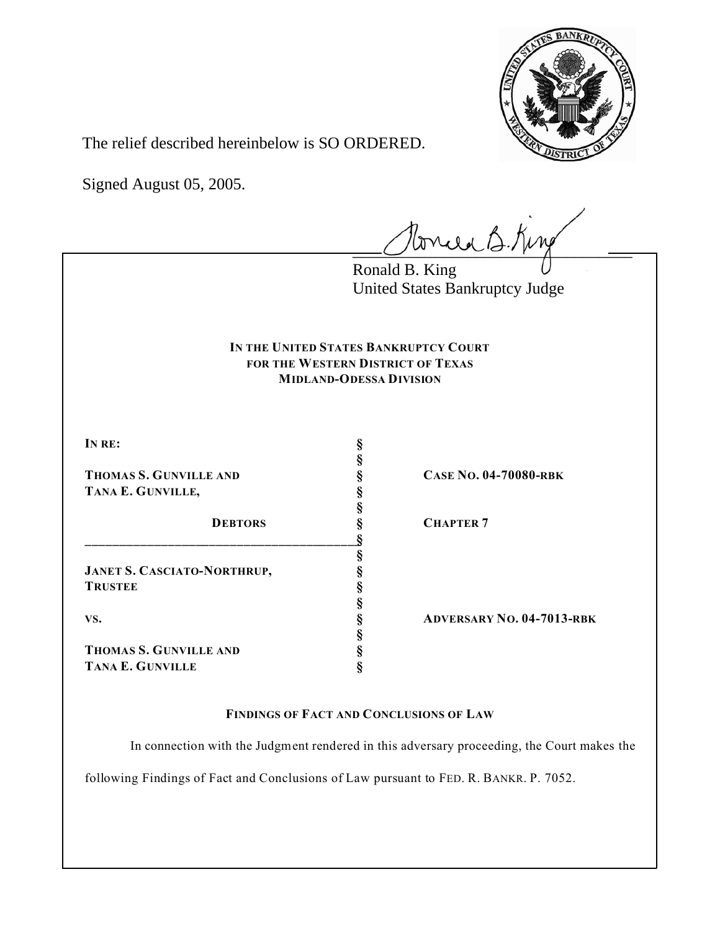

The relief described hereinbelow is SO ORDERED.

Signed August 05, 2005.

tonie B. King

Ronald B. King United States Bankruptcy Judge

## **IN THE UNITED STATES BANKRUPTCY COURT FOR THE WESTERN DISTRICT OF TEXAS MIDLAND-ODESSA DIVISION**

**§**

**§**

**§**

**§**

**§**

**IN RE: §**

**THOMAS S. GUNVILLE AND § CASE NO. 04-70080-RBK TANA E. GUNVILLE, §**

**DEBTORS § CHAPTER 7 \_\_\_\_\_\_\_\_\_\_\_\_\_\_\_\_\_\_\_\_\_\_\_\_\_\_\_\_\_\_\_\_\_\_\_\_\_\_\_\_§**

**JANET S. CASCIATO-NORTHRUP, § TRUSTEE §**

**THOMAS S. GUNVILLE AND § TANA E. GUNVILLE §**

**VS. § ADVERSARY NO. 04-7013-RBK**

**FINDINGS OF FACT AND CONCLUSIONS OF LAW**

In connection with the Judgment rendered in this adversary proceeding, the Court makes the

following Findings of Fact and Conclusions of Law pursuant to FED. R. BANKR. P. 7052.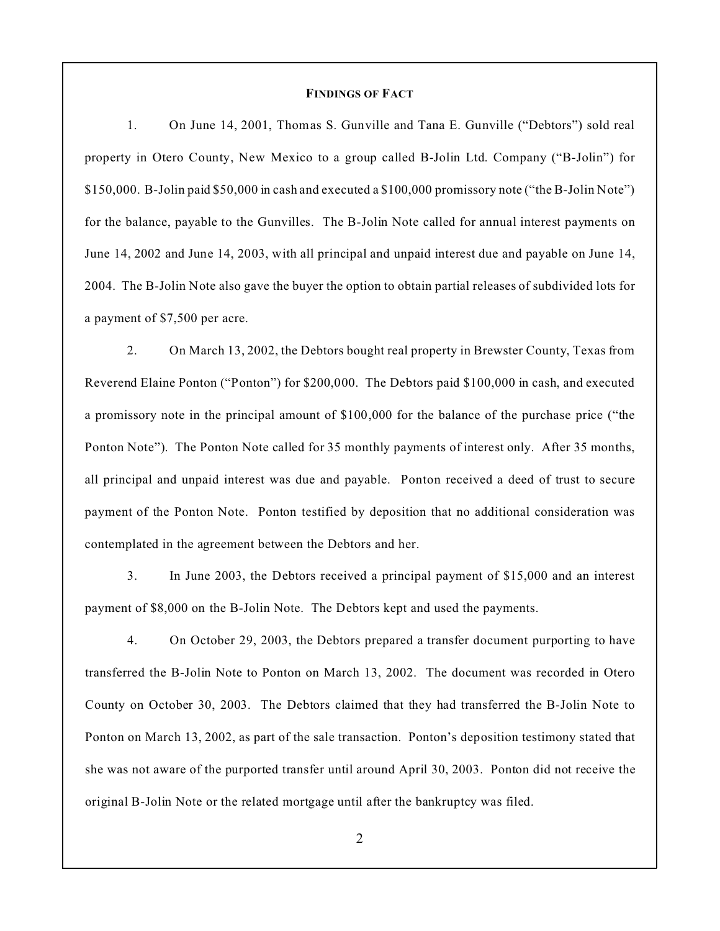## **FINDINGS OF FACT**

1. On June 14, 2001, Thomas S. Gunville and Tana E. Gunville ("Debtors") sold real property in Otero County, New Mexico to a group called B-Jolin Ltd. Company ("B-Jolin") for \$150,000. B-Jolin paid \$50,000 in cash and executed a \$100,000 promissory note ("the B-Jolin Note") for the balance, payable to the Gunvilles. The B-Jolin Note called for annual interest payments on June 14, 2002 and June 14, 2003, with all principal and unpaid interest due and payable on June 14, 2004. The B-Jolin Note also gave the buyer the option to obtain partial releases of subdivided lots for a payment of \$7,500 per acre.

2. On March 13, 2002, the Debtors bought real property in Brewster County, Texas from Reverend Elaine Ponton ("Ponton") for \$200,000. The Debtors paid \$100,000 in cash, and executed a promissory note in the principal amount of \$100,000 for the balance of the purchase price ("the Ponton Note"). The Ponton Note called for 35 monthly payments of interest only. After 35 months, all principal and unpaid interest was due and payable. Ponton received a deed of trust to secure payment of the Ponton Note. Ponton testified by deposition that no additional consideration was contemplated in the agreement between the Debtors and her.

3. In June 2003, the Debtors received a principal payment of \$15,000 and an interest payment of \$8,000 on the B-Jolin Note. The Debtors kept and used the payments.

4. On October 29, 2003, the Debtors prepared a transfer document purporting to have transferred the B-Jolin Note to Ponton on March 13, 2002. The document was recorded in Otero County on October 30, 2003. The Debtors claimed that they had transferred the B-Jolin Note to Ponton on March 13, 2002, as part of the sale transaction. Ponton's deposition testimony stated that she was not aware of the purported transfer until around April 30, 2003. Ponton did not receive the original B-Jolin Note or the related mortgage until after the bankruptcy was filed.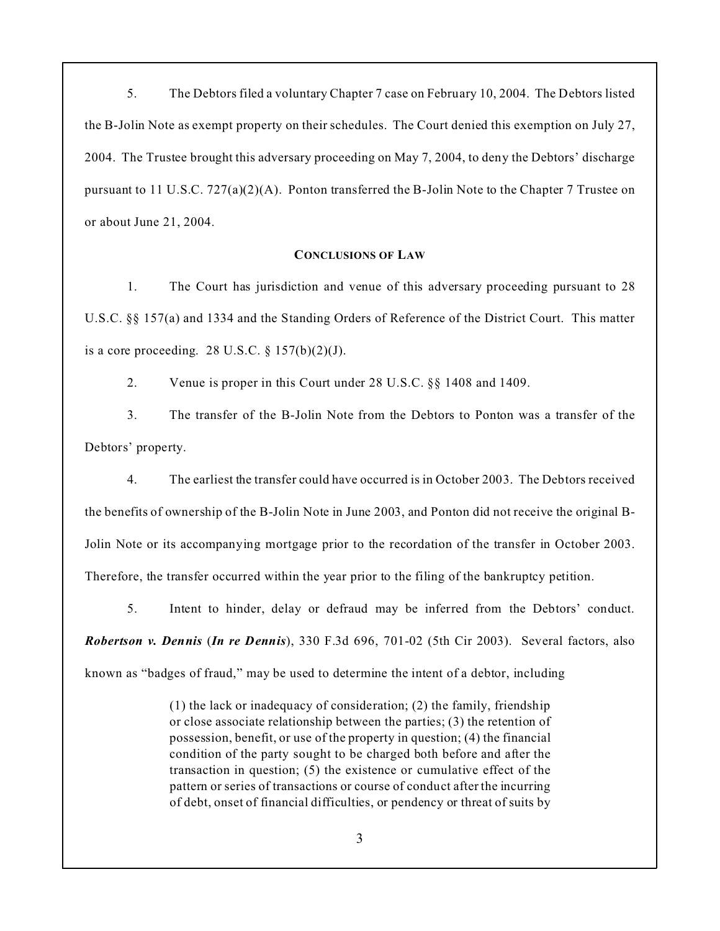5. The Debtors filed a voluntary Chapter 7 case on February 10, 2004. The Debtors listed the B-Jolin Note as exempt property on their schedules. The Court denied this exemption on July 27, 2004. The Trustee brought this adversary proceeding on May 7, 2004, to deny the Debtors' discharge pursuant to 11 U.S.C.  $727(a)(2)(A)$ . Ponton transferred the B-Jolin Note to the Chapter 7 Trustee on or about June 21, 2004.

## **CONCLUSIONS OF LAW**

1. The Court has jurisdiction and venue of this adversary proceeding pursuant to 28 U.S.C. §§ 157(a) and 1334 and the Standing Orders of Reference of the District Court. This matter is a core proceeding. 28 U.S.C.  $\S 157(b)(2)(J)$ .

2. Venue is proper in this Court under 28 U.S.C. §§ 1408 and 1409.

3. The transfer of the B-Jolin Note from the Debtors to Ponton was a transfer of the Debtors' property.

4. The earliest the transfer could have occurred is in October 2003. The Debtors received the benefits of ownership of the B-Jolin Note in June 2003, and Ponton did not receive the original B-Jolin Note or its accompanying mortgage prior to the recordation of the transfer in October 2003. Therefore, the transfer occurred within the year prior to the filing of the bankruptcy petition.

5. Intent to hinder, delay or defraud may be inferred from the Debtors' conduct. *Robertson v. Dennis* (*In re Dennis*), 330 F.3d 696, 701-02 (5th Cir 2003). Several factors, also known as "badges of fraud," may be used to determine the intent of a debtor, including

> (1) the lack or inadequacy of consideration; (2) the family, friendship or close associate relationship between the parties; (3) the retention of possession, benefit, or use of the property in question; (4) the financial condition of the party sought to be charged both before and after the transaction in question; (5) the existence or cumulative effect of the pattern or series of transactions or course of conduct after the incurring of debt, onset of financial difficulties, or pendency or threat of suits by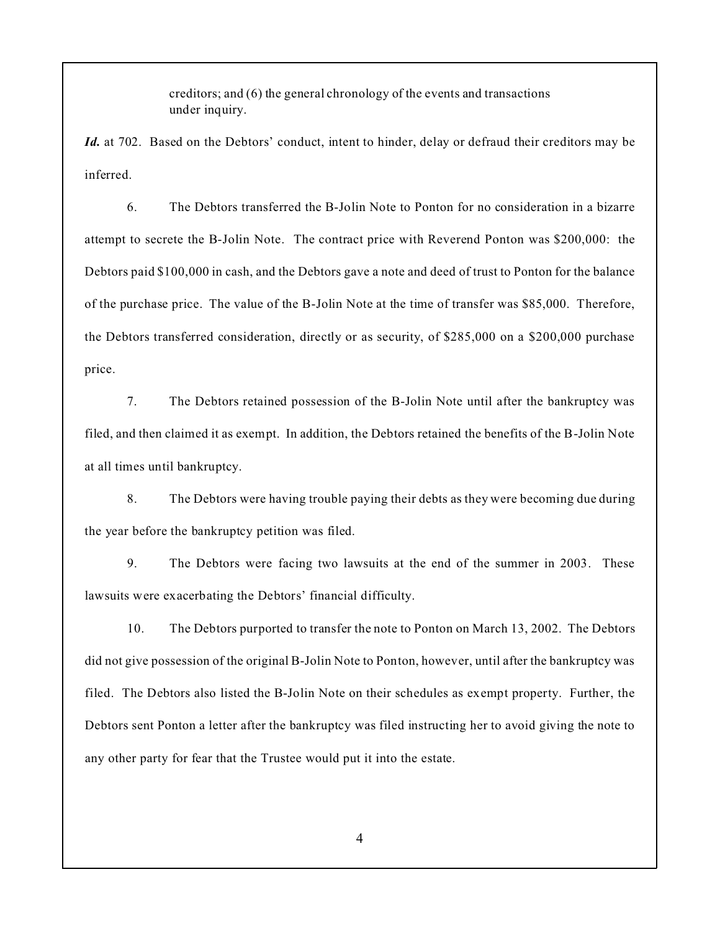creditors; and (6) the general chronology of the events and transactions under inquiry.

*Id.* at 702. Based on the Debtors' conduct, intent to hinder, delay or defraud their creditors may be inferred.

6. The Debtors transferred the B-Jolin Note to Ponton for no consideration in a bizarre attempt to secrete the B-Jolin Note. The contract price with Reverend Ponton was \$200,000: the Debtors paid \$100,000 in cash, and the Debtors gave a note and deed of trust to Ponton for the balance of the purchase price. The value of the B-Jolin Note at the time of transfer was \$85,000. Therefore, the Debtors transferred consideration, directly or as security, of \$285,000 on a \$200,000 purchase price.

7. The Debtors retained possession of the B-Jolin Note until after the bankruptcy was filed, and then claimed it as exempt. In addition, the Debtors retained the benefits of the B-Jolin Note at all times until bankruptcy.

8. The Debtors were having trouble paying their debts as they were becoming due during the year before the bankruptcy petition was filed.

9. The Debtors were facing two lawsuits at the end of the summer in 2003. These lawsuits were exacerbating the Debtors' financial difficulty.

10. The Debtors purported to transfer the note to Ponton on March 13, 2002. The Debtors did not give possession of the original B-Jolin Note to Ponton, however, until after the bankruptcy was filed. The Debtors also listed the B-Jolin Note on their schedules as exempt property. Further, the Debtors sent Ponton a letter after the bankruptcy was filed instructing her to avoid giving the note to any other party for fear that the Trustee would put it into the estate.

4